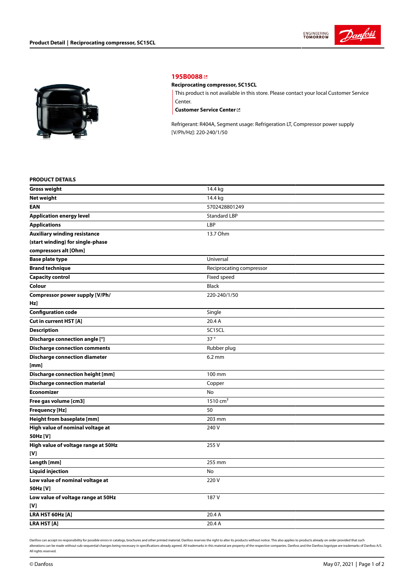



## **[195B0088](https://store.danfoss.com/en/Climate-Solutions-for-cooling/Compressors/Compressors-for-Refrigeration/Danfoss-Light-Commercial-Refrigeration-Compressors/Reciprocating-compressor%2C-SC15CL/p/195B0088)**

## **Reciprocating compressor, SC15CL**

This product is not available in this store. Please contact your local Customer Service Center.

**[Customer](https://store.danfoss.com/en/customer-service) Service Center**

Refrigerant: R404A, Segment usage: Refrigeration LT, Compressor power supply [V/Ph/Hz]: 220-240/1/50

## **PRODUCT DETAILS**

| <b>Gross weight</b>                     | 14.4 kg                  |  |
|-----------------------------------------|--------------------------|--|
| <b>Net weight</b>                       | 14.4 kg                  |  |
| <b>EAN</b>                              | 5702428801249            |  |
| <b>Application energy level</b>         | <b>Standard LBP</b>      |  |
| <b>Applications</b>                     | LBP                      |  |
| <b>Auxiliary winding resistance</b>     | 13.7 Ohm                 |  |
| (start winding) for single-phase        |                          |  |
| compressors alt [Ohm]                   |                          |  |
| <b>Base plate type</b>                  | Universal                |  |
| <b>Brand technique</b>                  | Reciprocating compressor |  |
| <b>Capacity control</b>                 | Fixed speed              |  |
| Colour                                  | <b>Black</b>             |  |
| Compressor power supply [V/Ph/          | 220-240/1/50             |  |
| Hz]                                     |                          |  |
| <b>Configuration code</b>               | Single                   |  |
| Cut in current HST [A]                  | 20.4 A                   |  |
| <b>Description</b>                      | SC15CL                   |  |
| Discharge connection angle [°]          | 37°                      |  |
| <b>Discharge connection comments</b>    | Rubber plug              |  |
| <b>Discharge connection diameter</b>    | $6.2 \text{ mm}$         |  |
| [mm]                                    |                          |  |
| <b>Discharge connection height [mm]</b> | 100 mm                   |  |
| <b>Discharge connection material</b>    | Copper                   |  |
| <b>Economizer</b>                       | No                       |  |
| Free gas volume [cm3]                   | $1510 \text{ cm}^3$      |  |
| <b>Frequency [Hz]</b>                   | 50                       |  |
| Height from baseplate [mm]              | 203 mm                   |  |
| High value of nominal voltage at        | 240 V                    |  |
| 50Hz [V]                                |                          |  |
| High value of voltage range at 50Hz     | 255 V                    |  |
| [V]                                     |                          |  |
| Length [mm]                             | 255 mm                   |  |
| <b>Liquid injection</b>                 | No                       |  |
| Low value of nominal voltage at         | 220V                     |  |
| 50Hz [V]                                |                          |  |
| Low value of voltage range at 50Hz      | 187 V                    |  |
| [V]                                     |                          |  |
| LRA HST 60Hz [A]                        | 20.4 A                   |  |
| <b>LRA HST[A]</b>                       | 20.4 A                   |  |

Danfoss can accept no responsibility for possible errors in catalogs, brochures and other printed material. Danfoss reserves the right to alter its products without notice. This also applies to products already on order pr alterations can be made without sub-sequential changes being necessary in specifications already agreed. All trademarks in this material are property of the respective companies. Danfoss and the Danfoss logotype are tradem All rights reserved.